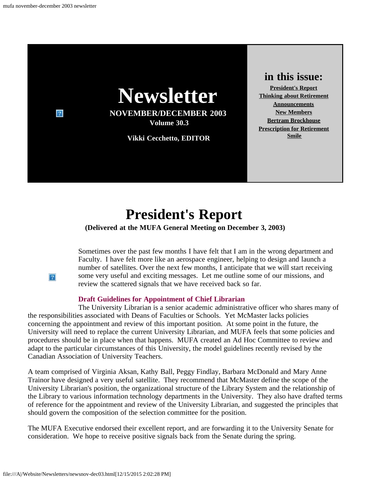<span id="page-0-0"></span> $|2|$ 



### **President's Report**

#### **(Delivered at the MUFA General Meeting on December 3, 2003)**

Sometimes over the past few months I have felt that I am in the wrong department and Faculty. I have felt more like an aerospace engineer, helping to design and launch a number of satellites. Over the next few months, I anticipate that we will start receiving some very useful and exciting messages. Let me outline some of our missions, and review the scattered signals that we have received back so far.

#### **Draft Guidelines for Appointment of Chief Librarian**

The University Librarian is a senior academic administrative officer who shares many of the responsibilities associated with Deans of Faculties or Schools. Yet McMaster lacks policies concerning the appointment and review of this important position. At some point in the future, the University will need to replace the current University Librarian, and MUFA feels that some policies and procedures should be in place when that happens. MUFA created an Ad Hoc Committee to review and adapt to the particular circumstances of this University, the model guidelines recently revised by the Canadian Association of University Teachers.

A team comprised of Virginia Aksan, Kathy Ball, Peggy Findlay, Barbara McDonald and Mary Anne Trainor have designed a very useful satellite. They recommend that McMaster define the scope of the University Librarian's position, the organizational structure of the Library System and the relationship of the Library to various information technology departments in the University. They also have drafted terms of reference for the appointment and review of the University Librarian, and suggested the principles that should govern the composition of the selection committee for the position.

The MUFA Executive endorsed their excellent report, and are forwarding it to the University Senate for consideration. We hope to receive positive signals back from the Senate during the spring.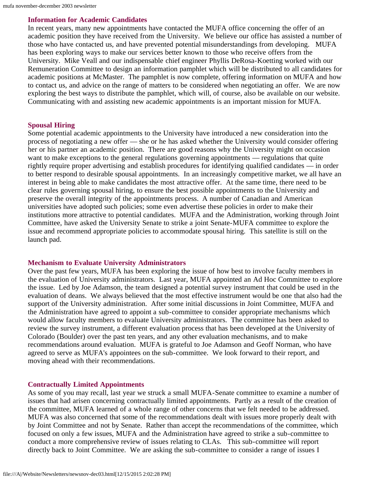#### **Information for Academic Candidates**

In recent years, many new appointments have contacted the MUFA office concerning the offer of an academic position they have received from the University. We believe our office has assisted a number of those who have contacted us, and have prevented potential misunderstandings from developing. MUFA has been exploring ways to make our services better known to those who receive offers from the University. Mike Veall and our indispensable chief engineer Phyllis DeRosa-Koetting worked with our Remuneration Committee to design an information pamphlet which will be distributed to all candidates for academic positions at McMaster. The pamphlet is now complete, offering information on MUFA and how to contact us, and advice on the range of matters to be considered when negotiating an offer. We are now exploring the best ways to distribute the pamphlet, which will, of course, also be available on our website. Communicating with and assisting new academic appointments is an important mission for MUFA.

#### **Spousal Hiring**

Some potential academic appointments to the University have introduced a new consideration into the process of negotiating a new offer — she or he has asked whether the University would consider offering her or his partner an academic position. There are good reasons why the University might on occasion want to make exceptions to the general regulations governing appointments — regulations that quite rightly require proper advertising and establish procedures for identifying qualified candidates — in order to better respond to desirable spousal appointments. In an increasingly competitive market, we all have an interest in being able to make candidates the most attractive offer. At the same time, there need to be clear rules governing spousal hiring, to ensure the best possible appointments to the University and preserve the overall integrity of the appointments process. A number of Canadian and American universities have adopted such policies; some even advertise these policies in order to make their institutions more attractive to potential candidates. MUFA and the Administration, working through Joint Committee, have asked the University Senate to strike a joint Senate-MUFA committee to explore the issue and recommend appropriate policies to accommodate spousal hiring. This satellite is still on the launch pad.

#### **Mechanism to Evaluate University Administrators**

Over the past few years, MUFA has been exploring the issue of how best to involve faculty members in the evaluation of University administrators. Last year, MUFA appointed an Ad Hoc Committee to explore the issue. Led by Joe Adamson, the team designed a potential survey instrument that could be used in the evaluation of deans. We always believed that the most effective instrument would be one that also had the support of the University administration. After some initial discussions in Joint Committee, MUFA and the Administration have agreed to appoint a sub-committee to consider appropriate mechanisms which would allow faculty members to evaluate University administrators. The committee has been asked to review the survey instrument, a different evaluation process that has been developed at the University of Colorado (Boulder) over the past ten years, and any other evaluation mechanisms, and to make recommendations around evaluation. MUFA is grateful to Joe Adamson and Geoff Norman, who have agreed to serve as MUFA's appointees on the sub-committee. We look forward to their report, and moving ahead with their recommendations.

#### **Contractually Limited Appointments**

As some of you may recall, last year we struck a small MUFA-Senate committee to examine a number of issues that had arisen concerning contractually limited appointments. Partly as a result of the creation of the committee, MUFA learned of a whole range of other concerns that we felt needed to be addressed. MUFA was also concerned that some of the recommendations dealt with issues more properly dealt with by Joint Committee and not by Senate. Rather than accept the recommendations of the committee, which focused on only a few issues, MUFA and the Administration have agreed to strike a sub-committee to conduct a more comprehensive review of issues relating to CLAs. This sub-committee will report directly back to Joint Committee. We are asking the sub-committee to consider a range of issues I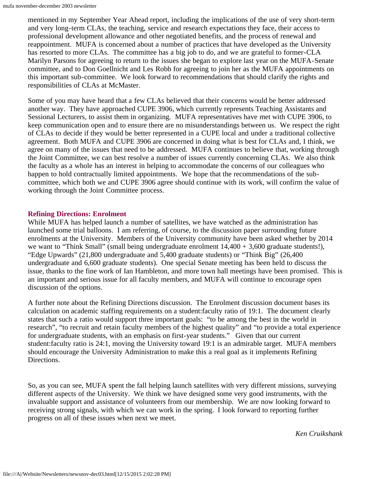mentioned in my September Year Ahead report, including the implications of the use of very short-term and very long-term CLAs, the teaching, service and research expectations they face, their access to professional development allowance and other negotiated benefits, and the process of renewal and reappointment. MUFA is concerned about a number of practices that have developed as the University has resorted to more CLAs. The committee has a big job to do, and we are grateful to former-CLA Marilyn Parsons for agreeing to return to the issues she began to explore last year on the MUFA-Senate committee, and to Don Goellnicht and Les Robb for agreeing to join her as the MUFA appointments on this important sub-committee. We look forward to recommendations that should clarify the rights and responsibilities of CLAs at McMaster.

Some of you may have heard that a few CLAs believed that their concerns would be better addressed another way. They have approached CUPE 3906, which currently represents Teaching Assistants and Sessional Lecturers, to assist them in organizing. MUFA representatives have met with CUPE 3906, to keep communication open and to ensure there are no misunderstandings between us. We respect the right of CLAs to decide if they would be better represented in a CUPE local and under a traditional collective agreement. Both MUFA and CUPE 3906 are concerned in doing what is best for CLAs and, I think, we agree on many of the issues that need to be addressed. MUFA continues to believe that, working through the Joint Committee, we can best resolve a number of issues currently concerning CLAs. We also think the faculty as a whole has an interest in helping to accommodate the concerns of our colleagues who happen to hold contractually limited appointments. We hope that the recommendations of the subcommittee, which both we and CUPE 3906 agree should continue with its work, will confirm the value of working through the Joint Committee process.

#### **Refining Directions: Enrolment**

While MUFA has helped launch a number of satellites, we have watched as the administration has launched some trial balloons. I am referring, of course, to the discussion paper surrounding future enrolments at the University. Members of the University community have been asked whether by 2014 we want to "Think Small" (small being undergraduate enrolment  $14,400 + 3,600$  graduate students!), "Edge Upwards" (21,800 undergraduate and 5,400 graduate students) or "Think Big" (26,400 undergraduate and 6,600 graduate students). One special Senate meeting has been held to discuss the issue, thanks to the fine work of Ian Hambleton, and more town hall meetings have been promised. This is an important and serious issue for all faculty members, and MUFA will continue to encourage open discussion of the options.

A further note about the Refining Directions discussion. The Enrolment discussion document bases its calculation on academic staffing requirements on a student:faculty ratio of 19:1. The document clearly states that such a ratio would support three important goals: "to be among the best in the world in research", "to recruit and retain faculty members of the highest quality" and "to provide a total experience for undergraduate students, with an emphasis on first-year students." Given that our current student:faculty ratio is 24:1, moving the University toward 19:1 is an admirable target. MUFA members should encourage the University Administration to make this a real goal as it implements Refining Directions.

So, as you can see, MUFA spent the fall helping launch satellites with very different missions, surveying different aspects of the University. We think we have designed some very good instruments, with the invaluable support and assistance of volunteers from our membership. We are now looking forward to receiving strong signals, with which we can work in the spring. I look forward to reporting further progress on all of these issues when next we meet.

*Ken Cruikshank*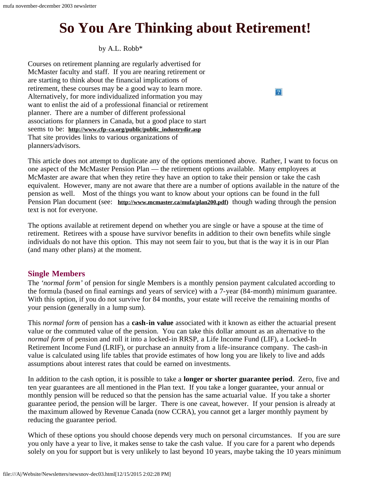# **So You Are Thinking about Retirement!**

 $|2|$ 

by A.L. Robb\*

<span id="page-3-0"></span>Courses on retirement planning are regularly advertised for McMaster faculty and staff. If you are nearing retirement or are starting to think about the financial implications of retirement, these courses may be a good way to learn more. Alternatively, for more individualized information you may want to enlist the aid of a professional financial or retirement planner. There are a number of different professional associations for planners in Canada, but a good place to start seems to be: **[http://www.cfp-ca.org/public/public\\_industrydir.asp](http://www.cfp-ca.org/public/public_industrydir.asp)** That site provides links to various organizations of planners/advisors.

This article does not attempt to duplicate any of the options mentioned above. Rather, I want to focus on one aspect of the McMaster Pension Plan — the retirement options available. Many employees at McMaster are aware that when they retire they have an option to take their pension or take the cash equivalent. However, many are not aware that there are a number of options available in the nature of the pension as well. Most of the things you want to know about your options can be found in the full Pension Plan document (see: **[http://www.mcmaster.ca/mufa/plan200.pdf\)](http://www.mcmaster.ca/mufa/plan200.pdf)** though wading through the pension text is not for everyone.

The options available at retirement depend on whether you are single or have a spouse at the time of retirement. Retirees with a spouse have survivor benefits in addition to their own benefits while single individuals do not have this option. This may not seem fair to you, but that is the way it is in our Plan (and many other plans) at the moment.

#### **Single Members**

The *'normal form'* of pension for single Members is a monthly pension payment calculated according to the formula (based on final earnings and years of service) with a 7-year (84-month) minimum guarantee. With this option, if you do not survive for 84 months, your estate will receive the remaining months of your pension (generally in a lump sum).

This *normal form* of pension has a **cash-in value** associated with it known as either the actuarial present value or the commuted value of the pension. You can take this dollar amount as an alternative to the *normal form* of pension and roll it into a locked-in RRSP, a Life Income Fund (LIF), a Locked-In Retirement Income Fund (LRIF), or purchase an annuity from a life-insurance company. The cash-in value is calculated using life tables that provide estimates of how long you are likely to live and adds assumptions about interest rates that could be earned on investments.

In addition to the cash option, it is possible to take a **longer or shorter guarantee period**. Zero, five and ten year guarantees are all mentioned in the Plan text. If you take a longer guarantee, your annual or monthly pension will be reduced so that the pension has the same actuarial value. If you take a shorter guarantee period, the pension will be larger. There is one caveat, however. If your pension is already at the maximum allowed by Revenue Canada (now CCRA), you cannot get a larger monthly payment by reducing the guarantee period.

Which of these options you should choose depends very much on personal circumstances. If you are sure you only have a year to live, it makes sense to take the cash value. If you care for a parent who depends solely on you for support but is very unlikely to last beyond 10 years, maybe taking the 10 years minimum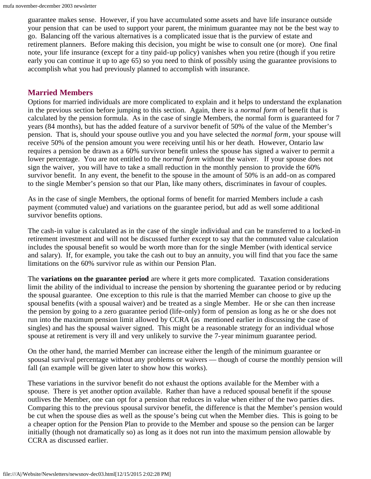guarantee makes sense. However, if you have accumulated some assets and have life insurance outside your pension that can be used to support your parent, the minimum guarantee may not be the best way to go. Balancing off the various alternatives is a complicated issue that is the purview of estate and retirement planners. Before making this decision, you might be wise to consult one (or more). One final note, your life insurance (except for a tiny paid-up policy) vanishes when you retire (though if you retire early you can continue it up to age 65) so you need to think of possibly using the guarantee provisions to accomplish what you had previously planned to accomplish with insurance.

#### **Married Members**

Options for married individuals are more complicated to explain and it helps to understand the explanation in the previous section before jumping to this section. Again, there is a *normal form* of benefit that is calculated by the pension formula. As in the case of single Members, the normal form is guaranteed for 7 years (84 months), but has the added feature of a survivor benefit of 50% of the value of the Member's pension. That is, should your spouse outlive you and you have selected the *normal form*, your spouse will receive 50% of the pension amount you were receiving until his or her death. However, Ontario law requires a pension be drawn as a 60% survivor benefit unless the spouse has signed a waiver to permit a lower percentage. You are not entitled to the *normal form* without the waiver. If your spouse does not sign the waiver, you will have to take a small reduction in the monthly pension to provide the 60% survivor benefit. In any event, the benefit to the spouse in the amount of 50% is an add-on as compared to the single Member's pension so that our Plan, like many others, discriminates in favour of couples.

As in the case of single Members, the optional forms of benefit for married Members include a cash payment (commuted value) and variations on the guarantee period, but add as well some additional survivor benefits options.

The cash-in value is calculated as in the case of the single individual and can be transferred to a locked-in retirement investment and will not be discussed further except to say that the commuted value calculation includes the spousal benefit so would be worth more than for the single Member (with identical service and salary). If, for example, you take the cash out to buy an annuity, you will find that you face the same limitations on the 60% survivor rule as within our Pension Plan.

The **variations on the guarantee period** are where it gets more complicated. Taxation considerations limit the ability of the individual to increase the pension by shortening the guarantee period or by reducing the spousal guarantee. One exception to this rule is that the married Member can choose to give up the spousal benefits (with a spousal waiver) and be treated as a single Member. He or she can then increase the pension by going to a zero guarantee period (life-only) form of pension as long as he or she does not run into the maximum pension limit allowed by CCRA (as mentioned earlier in discussing the case of singles) and has the spousal waiver signed. This might be a reasonable strategy for an individual whose spouse at retirement is very ill and very unlikely to survive the 7-year minimum guarantee period.

On the other hand, the married Member can increase either the length of the minimum guarantee or spousal survival percentage without any problems or waivers — though of course the monthly pension will fall (an example will be given later to show how this works).

These variations in the survivor benefit do not exhaust the options available for the Member with a spouse. There is yet another option available. Rather than have a reduced spousal benefit if the spouse outlives the Member, one can opt for a pension that reduces in value when either of the two parties dies. Comparing this to the previous spousal survivor benefit, the difference is that the Member's pension would be cut when the spouse dies as well as the spouse's being cut when the Member dies. This is going to be a cheaper option for the Pension Plan to provide to the Member and spouse so the pension can be larger initially (though not dramatically so) as long as it does not run into the maximum pension allowable by CCRA as discussed earlier.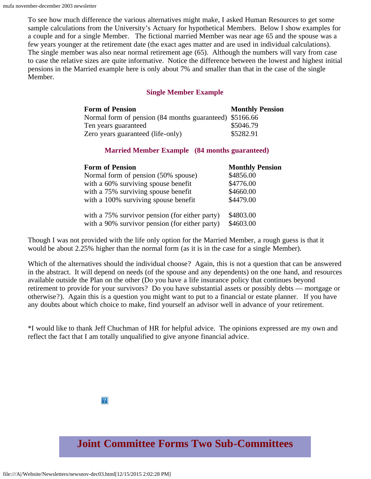To see how much difference the various alternatives might make, I asked Human Resources to get some sample calculations from the University's Actuary for hypothetical Members. Below I show examples for a couple and for a single Member. The fictional married Member was near age 65 and the spouse was a few years younger at the retirement date (the exact ages matter and are used in individual calculations). The single member was also near normal retirement age (65). Although the numbers will vary from case to case the relative sizes are quite informative. Notice the difference between the lowest and highest initial pensions in the Married example here is only about 7% and smaller than that in the case of the single Member.

#### **Single Member Example**

| <b>Form of Pension</b>                                  | <b>Monthly Pension</b> |
|---------------------------------------------------------|------------------------|
| Normal form of pension (84 months guaranteed) \$5166.66 |                        |
| Ten years guaranteed                                    | \$5046.79              |
| Zero years guaranteed (life-only)                       | \$5282.91              |

#### **Married Member Example (84 months guaranteed)**

| <b>Form of Pension</b>                         | <b>Monthly Pension</b> |
|------------------------------------------------|------------------------|
| Normal form of pension (50% spouse)            | \$4856.00              |
| with a 60% surviving spouse benefit            | \$4776.00              |
| with a 75% surviving spouse benefit            | \$4660.00              |
| with a 100% surviving spouse benefit           | \$4479.00              |
|                                                |                        |
| with a 75% survivor pension (for either party) | \$4803.00              |
| with a 90% survivor pension (for either party) | \$4603.00              |

Though I was not provided with the life only option for the Married Member, a rough guess is that it would be about 2.25% higher than the normal form (as it is in the case for a single Member).

Which of the alternatives should the individual choose? Again, this is not a question that can be answered in the abstract. It will depend on needs (of the spouse and any dependents) on the one hand, and resources available outside the Plan on the other (Do you have a life insurance policy that continues beyond retirement to provide for your survivors? Do you have substantial assets or possibly debts — mortgage or otherwise?). Again this is a question you might want to put to a financial or estate planner. If you have any doubts about which choice to make, find yourself an advisor well in advance of your retirement.

\*I would like to thank Jeff Chuchman of HR for helpful advice. The opinions expressed are my own and reflect the fact that I am totally unqualified to give anyone financial advice.



### <span id="page-5-0"></span>**Joint Committee Forms Two Sub-Committees**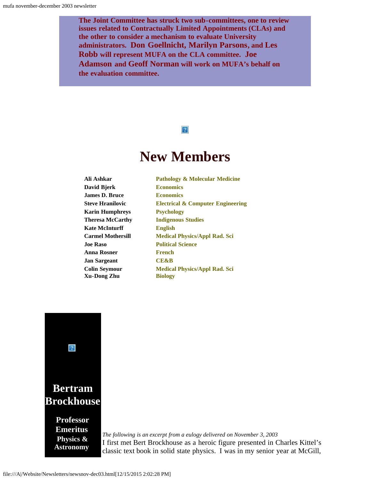**The Joint Committee has struck two sub-committees, one to review issues related to Contractually Limited Appointments (CLAs) and the other to consider a mechanism to evaluate University administrators. Don Goellnicht, Marilyn Parsons, and Les Robb will represent MUFA on the CLA committee. Joe Adamson and Geoff Norman will work on MUFA's behalf on the evaluation committee.**

#### $\overline{?}$

### **New Members**

<span id="page-6-0"></span>**Ali Ashkar David Bjerk James D. Bruce Steve Hranilovic Karin Humphreys Theresa McCarthy Kate McInturff Carmel Mothersill Joe Raso Anna Rosner Jan Sargeant Colin Seymour Xu-Dong Zhu**

**Pathology & Molecular Medicine Economics Economics Electrical & Computer Engineering Psychology Indigenous Studies English Medical Physics/Appl Rad. Sci Political Science French CE&B Medical Physics/Appl Rad. Sci Biology**

<span id="page-6-1"></span>

*The following is an excerpt from a eulogy delivered on November 3, 2003* I first met Bert Brockhouse as a heroic figure presented in Charles Kittel's classic text book in solid state physics. I was in my senior year at McGill,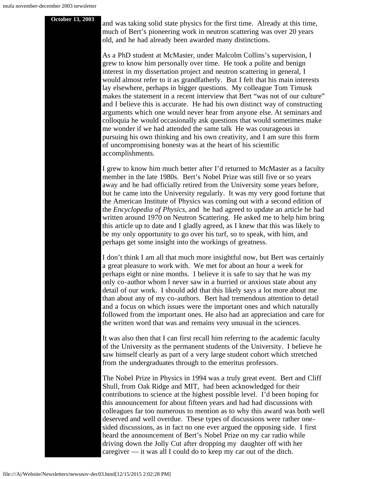**October 13, 2003** and was taking solid state physics for the first time. Already at this time, much of Bert's pioneering work in neutron scattering was over 20 years old, and he had already been awarded many distinctions.

> As a PhD student at McMaster, under Malcolm Collins's supervision, I grew to know him personally over time. He took a polite and benign interest in my dissertation project and neutron scattering in general, I would almost refer to it as grandfatherly. But I felt that his main interests lay elsewhere, perhaps in bigger questions. My colleague Tom Timusk makes the statement in a recent interview that Bert "was not of our culture" and I believe this is accurate. He had his own distinct way of constructing arguments which one would never hear from anyone else. At seminars and colloquia he would occasionally ask questions that would sometimes make me wonder if we had attended the same talk He was courageous in pursuing his own thinking and his own creativity, and I am sure this form of uncompromising honesty was at the heart of his scientific accomplishments.

> I grew to know him much better after I'd returned to McMaster as a faculty member in the late 1980s. Bert's Nobel Prize was still five or so years away and he had officially retired from the University some years before, but he came into the University regularly. It was my very good fortune that the American Institute of Physics was coming out with a second edition of the *Encyclopedia of Physics,* and he had agreed to update an article he had written around 1970 on Neutron Scattering. He asked me to help him bring this article up to date and I gladly agreed, as I knew that this was likely to be my only opportunity to go over his turf, so to speak, with him, and perhaps get some insight into the workings of greatness.

> I don't think I am all that much more insightful now, but Bert was certainly a great pleasure to work with. We met for about an hour a week for perhaps eight or nine months. I believe it is safe to say that he was my only co-author whom I never saw in a hurried or anxious state about any detail of our work. I should add that this likely says a lot more about me than about any of my co-authors. Bert had tremendous attention to detail and a focus on which issues were the important ones and which naturally followed from the important ones. He also had an appreciation and care for the written word that was and remains very unusual in the sciences.

It was also then that I can first recall him referring to the academic faculty of the University as the permanent students of the University. I believe he saw himself clearly as part of a very large student cohort which stretched from the undergraduates through to the emeritus professors.

The Nobel Prize in Physics in 1994 was a truly great event. Bert and Cliff Shull, from Oak Ridge and MIT, had been acknowledged for their contributions to science at the highest possible level. I'd been hoping for this announcement for about fifteen years and had had discussions with colleagues far too numerous to mention as to why this award was both well deserved and well overdue. These types of discussions were rather onesided discussions, as in fact no one ever argued the opposing side. I first heard the announcement of Bert's Nobel Prize on my car radio while driving down the Jolly Cut after dropping my daughter off with her caregiver — it was all I could do to keep my car out of the ditch.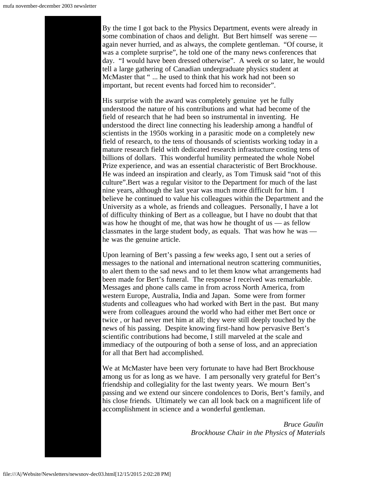By the time I got back to the Physics Department, events were already in some combination of chaos and delight. But Bert himself was serene again never hurried, and as always, the complete gentleman. "Of course, it was a complete surprise", he told one of the many news conferences that day. "I would have been dressed otherwise". A week or so later, he would tell a large gathering of Canadian undergraduate physics student at McMaster that " ... he used to think that his work had not been so important, but recent events had forced him to reconsider".

His surprise with the award was completely genuine yet he fully understood the nature of his contributions and what had become of the field of research that he had been so instrumental in inventing. He understood the direct line connecting his leadership among a handful of scientists in the 1950s working in a parasitic mode on a completely new field of research, to the tens of thousands of scientists working today in a mature research field with dedicated research infrastucture costing tens of billions of dollars. This wonderful humility permeated the whole Nobel Prize experience, and was an essential characteristic of Bert Brockhouse. He was indeed an inspiration and clearly, as Tom Timusk said "not of this culture".Bert was a regular visitor to the Department for much of the last nine years, although the last year was much more difficult for him. I believe he continued to value his colleagues within the Department and the University as a whole, as friends and colleagues. Personally, I have a lot of difficulty thinking of Bert as a colleague, but I have no doubt that that was how he thought of me, that was how he thought of us — as fellow classmates in the large student body, as equals. That was how he was he was the genuine article.

Upon learning of Bert's passing a few weeks ago, I sent out a series of messages to the national and international neutron scattering communities, to alert them to the sad news and to let them know what arrangements had been made for Bert's funeral. The response I received was remarkable. Messages and phone calls came in from across North America, from western Europe, Australia, India and Japan. Some were from former students and colleagues who had worked with Bert in the past. But many were from colleagues around the world who had either met Bert once or twice , or had never met him at all; they were still deeply touched by the news of his passing. Despite knowing first-hand how pervasive Bert's scientific contributions had become, I still marveled at the scale and immediacy of the outpouring of both a sense of loss, and an appreciation for all that Bert had accomplished.

We at McMaster have been very fortunate to have had Bert Brockhouse among us for as long as we have. I am personally very grateful for Bert's friendship and collegiality for the last twenty years. We mourn Bert's passing and we extend our sincere condolences to Doris, Bert's family, and his close friends. Ultimately we can all look back on a magnificent life of accomplishment in science and a wonderful gentleman.

> *Bruce Gaulin Brockhouse Chair in the Physics of Materials*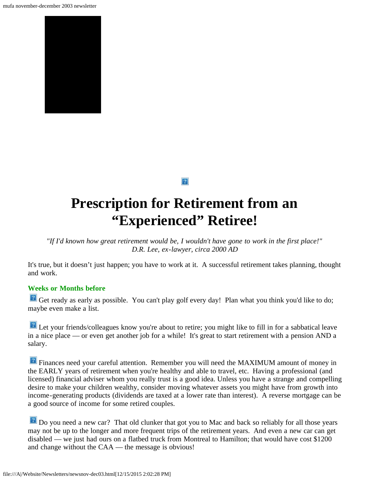

 $|2|$ 

# <span id="page-9-0"></span>**Prescription for Retirement from an "Experienced" Retiree!**

*"If I'd known how great retirement would be, I wouldn't have gone to work in the first place!" D.R. Lee, ex-lawyer, circa 2000 AD*

It's true, but it doesn't just happen; you have to work at it. A successful retirement takes planning, thought and work.

#### **Weeks or Months before**

**B** Get ready as early as possible. You can't play golf every day! Plan what you think you'd like to do; maybe even make a list.

Let your friends/colleagues know you're about to retire; you might like to fill in for a sabbatical leave in a nice place — or even get another job for a while! It's great to start retirement with a pension AND a salary.

**Finances need your careful attention. Remember you will need the MAXIMUM amount of money in** the EARLY years of retirement when you're healthy and able to travel, etc. Having a professional (and licensed) financial adviser whom you really trust is a good idea. Unless you have a strange and compelling desire to make your children wealthy, consider moving whatever assets you might have from growth into income-generating products (dividends are taxed at a lower rate than interest). A reverse mortgage can be a good source of income for some retired couples.

**E** Do you need a new car? That old clunker that got you to Mac and back so reliably for all those years may not be up to the longer and more frequent trips of the retirement years. And even a new car can get disabled — we just had ours on a flatbed truck from Montreal to Hamilton; that would have cost \$1200 and change without the CAA — the message is obvious!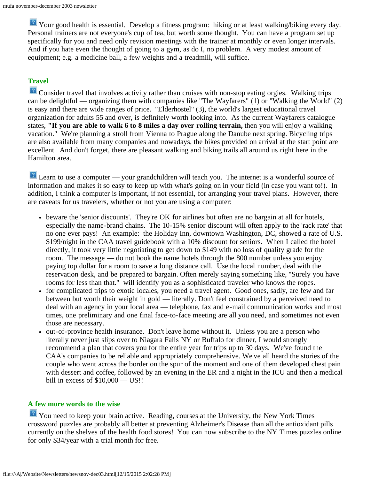Your good health is essential. Develop a fitness program: hiking or at least walking/biking every day. Personal trainers are not everyone's cup of tea, but worth some thought. You can have a program set up specifically for you and need only revision meetings with the trainer at monthly or even longer intervals. And if you hate even the thought of going to a gym, as do I, no problem. A very modest amount of equipment; e.g. a medicine ball, a few weights and a treadmill, will suffice.

#### **Travel**

**P** Consider travel that involves activity rather than cruises with non-stop eating orgies. Walking trips can be delightful — organizing them with companies like "The Wayfarers" (1) or "Walking the World" (2) is easy and there are wide ranges of price. "Elderhostel" (3), the world's largest educational travel organization for adults 55 and over, is definitely worth looking into. As the current Wayfarers catalogue states, **"If you are able to walk 6 to 8 miles a day over rolling terrain,** then you will enjoy a walking vacation." We're planning a stroll from Vienna to Prague along the Danube next spring. Bicycling trips are also available from many companies and nowadays, the bikes provided on arrival at the start point are excellent. And don't forget, there are pleasant walking and biking trails all around us right here in the Hamilton area.

**E** Learn to use a computer — your grandchildren will teach you. The internet is a wonderful source of information and makes it so easy to keep up with what's going on in your field (in case you want to!). In addition, I think a computer is important, if not essential, for arranging your travel plans. However, there are caveats for us travelers, whether or not you are using a computer:

- beware the 'senior discounts'. They're OK for airlines but often are no bargain at all for hotels, especially the name-brand chains. The 10-15% senior discount will often apply to the 'rack rate' that no one ever pays! An example: the Holiday Inn, downtown Washington, DC, showed a rate of U.S. \$199/night in the CAA travel guidebook with a 10% discount for seniors. When I called the hotel directly, it took very little negotiating to get down to \$149 with no loss of quality grade for the room. The message — do not book the name hotels through the 800 number unless you enjoy paying top dollar for a room to save a long distance call. Use the local number, deal with the reservation desk, and be prepared to bargain. Often merely saying something like, "Surely you have rooms for less than that." will identify you as a sophisticated traveler who knows the ropes.
- for complicated trips to exotic locales, you need a travel agent. Good ones, sadly, are few and far between but worth their weight in gold — literally. Don't feel constrained by a perceived need to deal with an agency in your local area — telephone, fax and e-mail communication works and most times, one preliminary and one final face-to-face meeting are all you need, and sometimes not even those are necessary.
- out-of-province health insurance. Don't leave home without it. Unless you are a person who literally never just slips over to Niagara Falls NY or Buffalo for dinner, I would strongly recommend a plan that covers you for the entire year for trips up to 30 days. We've found the CAA's companies to be reliable and appropriately comprehensive. We've all heard the stories of the couple who went across the border on the spur of the moment and one of them developed chest pain with dessert and coffee, followed by an evening in the ER and a night in the ICU and then a medical bill in excess of  $$10,000 - US!!$

#### **A few more words to the wise**

You need to keep your brain active. Reading, courses at the University, the New York Times crossword puzzles are probably all better at preventing Alzheimer's Disease than all the antioxidant pills currently on the shelves of the health food stores! You can now subscribe to the NY Times puzzles online for only \$34/year with a trial month for free.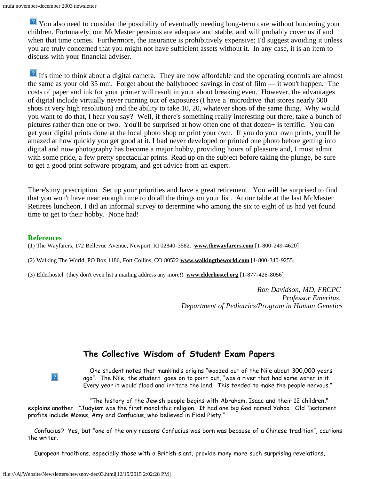<sup>2</sup> You also need to consider the possibility of eventually needing long-term care without burdening your children. Fortunately, our McMaster pensions are adequate and stable, and will probably cover us if and when that time comes. Furthermore, the insurance is prohibitively expensive; I'd suggest avoiding it unless you are truly concerned that you might not have sufficient assets without it. In any case, it is an item to discuss with your financial adviser.

It's time to think about a digital camera. They are now affordable and the operating controls are almost the same as your old 35 mm. Forget about the ballyhooed savings in cost of film — it won't happen. The costs of paper and ink for your printer will result in your about breaking even. However, the advantages of digital include virtually never running out of exposures (I have a 'microdrive' that stores nearly 600 shots at very high resolution) and the ability to take 10, 20, whatever shots of the same thing. Why would you want to do that, I hear you say? Well, if there's something really interesting out there, take a bunch of pictures rather than one or two. You'll be surprised at how often one of that dozen+ is terrific. You can get your digital prints done at the local photo shop or print your own. If you do your own prints, you'll be amazed at how quickly you get good at it. I had never developed or printed one photo before getting into digital and now photography has become a major hobby, providing hours of pleasure and, I must admit with some pride, a few pretty spectacular prints. Read up on the subject before taking the plunge, be sure to get a good print software program, and get advice from an expert.

There's my prescription. Set up your priorities and have a great retirement. You will be surprised to find that you won't have near enough time to do all the things on your list. At our table at the last McMaster Retirees luncheon, I did an informal survey to determine who among the six to eight of us had yet found time to get to their hobby. None had!

#### **References**

(1) The Wayfarers, 172 Bellevue Avenue, Newport, RI 02840-3582. **[www.thewayfarers.com](http://www.thewayfarers.com/)** [1-800-249-4620]

(2) Walking The World, PO Box 1186, Fort Collins, CO 80522 **[www.walkingtheworld.com](http://www.walkingtheworld.com/)** [1-800-340-9255]

(3) Elderhostel (they don't even list a mailing address any more!) **[www.elderhostel.org](http://www.elderhostel.org/)** [1-877-426-8056]

*Ron Davidson, MD, FRCPC Professor Emeritus, Department of Pediatrics/Program in Human Genetics*

### **The Collective Wisdom of Student Exam Papers**

<span id="page-11-0"></span> $|2|$ 

One student notes that mankind's origins "woozed out of the Nile about 300,000 years ago". The Nile, the student goes on to point out, "was a river that had some water in it. Every year it would flood and irritate the land. This tended to make the people nervous."

"The history of the Jewish people begins with Abraham, Isaac and their 12 children," explains another. "Judyism was the first monolithic religion. It had one big God named Yahoo. Old Testament profits include Moses, Amy and Confucius, who believed in Fidel Piety."

Confucius? Yes, but "one of the only reasons Confucius was born was because of a Chinese tradition", cautions the writer.

European traditions, especially those with a British slant, provide many more such surprising revelations,